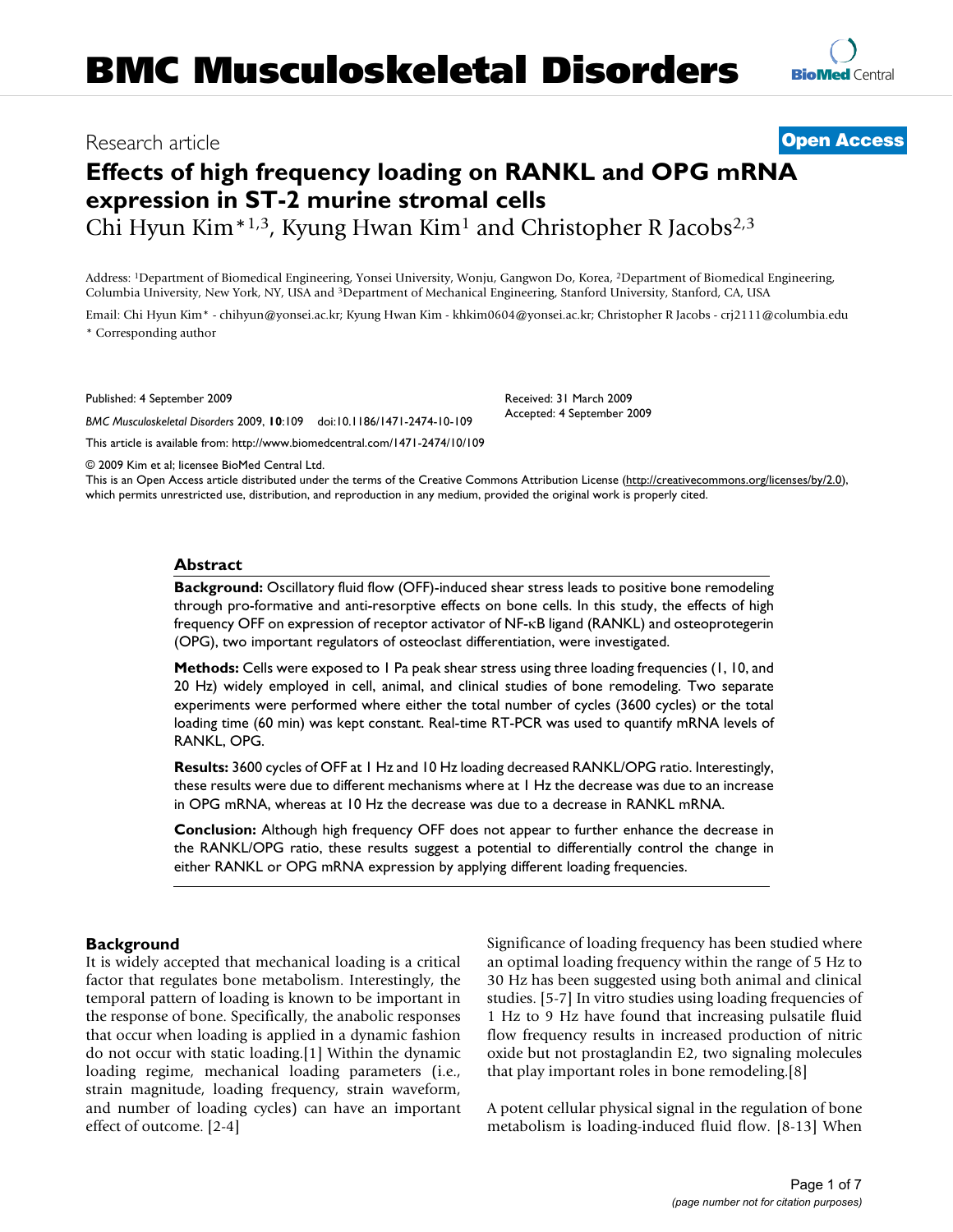## Research article **[Open Access](http://www.biomedcentral.com/info/about/charter/)**

# **Effects of high frequency loading on RANKL and OPG mRNA expression in ST-2 murine stromal cells**

Chi Hyun Kim<sup>\*1,3</sup>, Kyung Hwan Kim<sup>1</sup> and Christopher R Jacobs<sup>2,3</sup>

Address: 1Department of Biomedical Engineering, Yonsei University, Wonju, Gangwon Do, Korea, 2Department of Biomedical Engineering, Columbia University, New York, NY, USA and 3Department of Mechanical Engineering, Stanford University, Stanford, CA, USA

Email: Chi Hyun Kim\* - chihyun@yonsei.ac.kr; Kyung Hwan Kim - khkim0604@yonsei.ac.kr; Christopher R Jacobs - crj2111@columbia.edu \* Corresponding author

Published: 4 September 2009

*BMC Musculoskeletal Disorders* 2009, **10**:109 doi:10.1186/1471-2474-10-109

[This article is available from: http://www.biomedcentral.com/1471-2474/10/109](http://www.biomedcentral.com/1471-2474/10/109)

Received: 31 March 2009 Accepted: 4 September 2009

© 2009 Kim et al; licensee BioMed Central Ltd.

This is an Open Access article distributed under the terms of the Creative Commons Attribution License [\(http://creativecommons.org/licenses/by/2.0\)](http://creativecommons.org/licenses/by/2.0), which permits unrestricted use, distribution, and reproduction in any medium, provided the original work is properly cited.

#### **Abstract**

**Background:** Oscillatory fluid flow (OFF)-induced shear stress leads to positive bone remodeling through pro-formative and anti-resorptive effects on bone cells. In this study, the effects of high frequency OFF on expression of receptor activator of NF-κB ligand (RANKL) and osteoprotegerin (OPG), two important regulators of osteoclast differentiation, were investigated.

**Methods:** Cells were exposed to 1 Pa peak shear stress using three loading frequencies (1, 10, and 20 Hz) widely employed in cell, animal, and clinical studies of bone remodeling. Two separate experiments were performed where either the total number of cycles (3600 cycles) or the total loading time (60 min) was kept constant. Real-time RT-PCR was used to quantify mRNA levels of RANKL, OPG.

**Results:** 3600 cycles of OFF at 1 Hz and 10 Hz loading decreased RANKL/OPG ratio. Interestingly, these results were due to different mechanisms where at 1 Hz the decrease was due to an increase in OPG mRNA, whereas at 10 Hz the decrease was due to a decrease in RANKL mRNA.

**Conclusion:** Although high frequency OFF does not appear to further enhance the decrease in the RANKL/OPG ratio, these results suggest a potential to differentially control the change in either RANKL or OPG mRNA expression by applying different loading frequencies.

#### **Background**

It is widely accepted that mechanical loading is a critical factor that regulates bone metabolism. Interestingly, the temporal pattern of loading is known to be important in the response of bone. Specifically, the anabolic responses that occur when loading is applied in a dynamic fashion do not occur with static loading.[1] Within the dynamic loading regime, mechanical loading parameters (i.e., strain magnitude, loading frequency, strain waveform, and number of loading cycles) can have an important effect of outcome. [2-4]

Significance of loading frequency has been studied where an optimal loading frequency within the range of 5 Hz to 30 Hz has been suggested using both animal and clinical studies. [5-7] In vitro studies using loading frequencies of 1 Hz to 9 Hz have found that increasing pulsatile fluid flow frequency results in increased production of nitric oxide but not prostaglandin E2, two signaling molecules that play important roles in bone remodeling.[8]

A potent cellular physical signal in the regulation of bone metabolism is loading-induced fluid flow. [8-13] When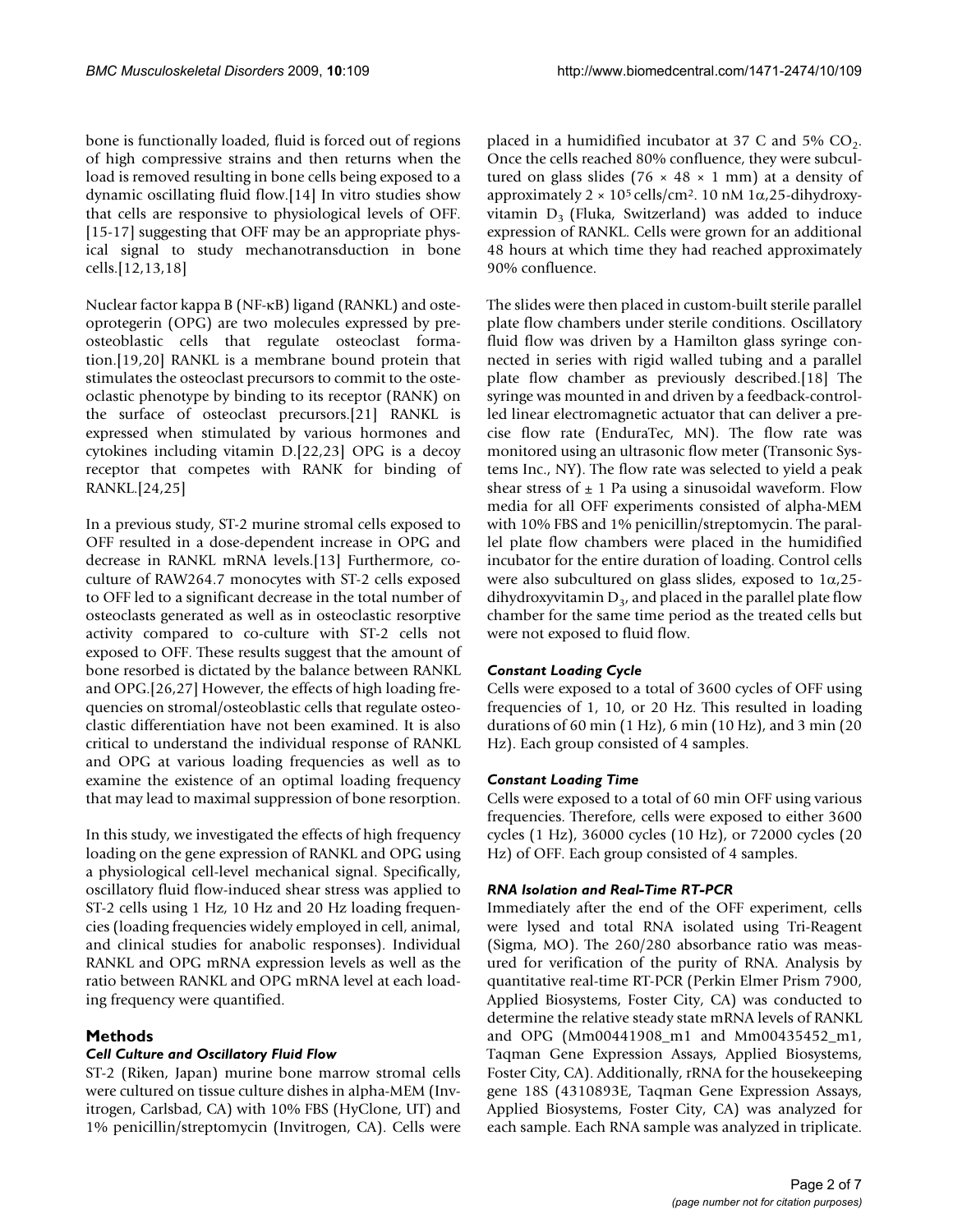bone is functionally loaded, fluid is forced out of regions of high compressive strains and then returns when the load is removed resulting in bone cells being exposed to a dynamic oscillating fluid flow.[14] In vitro studies show that cells are responsive to physiological levels of OFF. [15-17] suggesting that OFF may be an appropriate physical signal to study mechanotransduction in bone cells.[12,13,18]

Nuclear factor kappa B (NF-κB) ligand (RANKL) and osteoprotegerin (OPG) are two molecules expressed by preosteoblastic cells that regulate osteoclast formation.[19,20] RANKL is a membrane bound protein that stimulates the osteoclast precursors to commit to the osteoclastic phenotype by binding to its receptor (RANK) on the surface of osteoclast precursors.[21] RANKL is expressed when stimulated by various hormones and cytokines including vitamin D.[22,23] OPG is a decoy receptor that competes with RANK for binding of RANKL.[24,25]

In a previous study, ST-2 murine stromal cells exposed to OFF resulted in a dose-dependent increase in OPG and decrease in RANKL mRNA levels.[13] Furthermore, coculture of RAW264.7 monocytes with ST-2 cells exposed to OFF led to a significant decrease in the total number of osteoclasts generated as well as in osteoclastic resorptive activity compared to co-culture with ST-2 cells not exposed to OFF. These results suggest that the amount of bone resorbed is dictated by the balance between RANKL and OPG.[26,27] However, the effects of high loading frequencies on stromal/osteoblastic cells that regulate osteoclastic differentiation have not been examined. It is also critical to understand the individual response of RANKL and OPG at various loading frequencies as well as to examine the existence of an optimal loading frequency that may lead to maximal suppression of bone resorption.

In this study, we investigated the effects of high frequency loading on the gene expression of RANKL and OPG using a physiological cell-level mechanical signal. Specifically, oscillatory fluid flow-induced shear stress was applied to ST-2 cells using 1 Hz, 10 Hz and 20 Hz loading frequencies (loading frequencies widely employed in cell, animal, and clinical studies for anabolic responses). Individual RANKL and OPG mRNA expression levels as well as the ratio between RANKL and OPG mRNA level at each loading frequency were quantified.

#### **Methods**

#### *Cell Culture and Oscillatory Fluid Flow*

ST-2 (Riken, Japan) murine bone marrow stromal cells were cultured on tissue culture dishes in alpha-MEM (Invitrogen, Carlsbad, CA) with 10% FBS (HyClone, UT) and 1% penicillin/streptomycin (Invitrogen, CA). Cells were placed in a humidified incubator at 37 C and 5%  $CO<sub>2</sub>$ . Once the cells reached 80% confluence, they were subcultured on glass slides (76  $\times$  48  $\times$  1 mm) at a density of approximately  $2 \times 10^5$  cells/cm<sup>2</sup>. 10 nM 1 $\alpha$ , 25-dihydroxyvitamin  $D_3$  (Fluka, Switzerland) was added to induce expression of RANKL. Cells were grown for an additional 48 hours at which time they had reached approximately 90% confluence.

The slides were then placed in custom-built sterile parallel plate flow chambers under sterile conditions. Oscillatory fluid flow was driven by a Hamilton glass syringe connected in series with rigid walled tubing and a parallel plate flow chamber as previously described.[18] The syringe was mounted in and driven by a feedback-controlled linear electromagnetic actuator that can deliver a precise flow rate (EnduraTec, MN). The flow rate was monitored using an ultrasonic flow meter (Transonic Systems Inc., NY). The flow rate was selected to yield a peak shear stress of  $\pm$  1 Pa using a sinusoidal waveform. Flow media for all OFF experiments consisted of alpha-MEM with 10% FBS and 1% penicillin/streptomycin. The parallel plate flow chambers were placed in the humidified incubator for the entire duration of loading. Control cells were also subcultured on glass slides, exposed to 1α,25 dihydroxyvitamin  $D_3$ , and placed in the parallel plate flow chamber for the same time period as the treated cells but were not exposed to fluid flow.

#### *Constant Loading Cycle*

Cells were exposed to a total of 3600 cycles of OFF using frequencies of 1, 10, or 20 Hz. This resulted in loading durations of 60 min (1 Hz), 6 min (10 Hz), and 3 min (20 Hz). Each group consisted of 4 samples.

#### *Constant Loading Time*

Cells were exposed to a total of 60 min OFF using various frequencies. Therefore, cells were exposed to either 3600 cycles (1 Hz), 36000 cycles (10 Hz), or 72000 cycles (20 Hz) of OFF. Each group consisted of 4 samples.

#### *RNA Isolation and Real-Time RT-PCR*

Immediately after the end of the OFF experiment, cells were lysed and total RNA isolated using Tri-Reagent (Sigma, MO). The 260/280 absorbance ratio was measured for verification of the purity of RNA. Analysis by quantitative real-time RT-PCR (Perkin Elmer Prism 7900, Applied Biosystems, Foster City, CA) was conducted to determine the relative steady state mRNA levels of RANKL and OPG (Mm00441908\_m1 and Mm00435452\_m1, Taqman Gene Expression Assays, Applied Biosystems, Foster City, CA). Additionally, rRNA for the housekeeping gene 18S (4310893E, Taqman Gene Expression Assays, Applied Biosystems, Foster City, CA) was analyzed for each sample. Each RNA sample was analyzed in triplicate.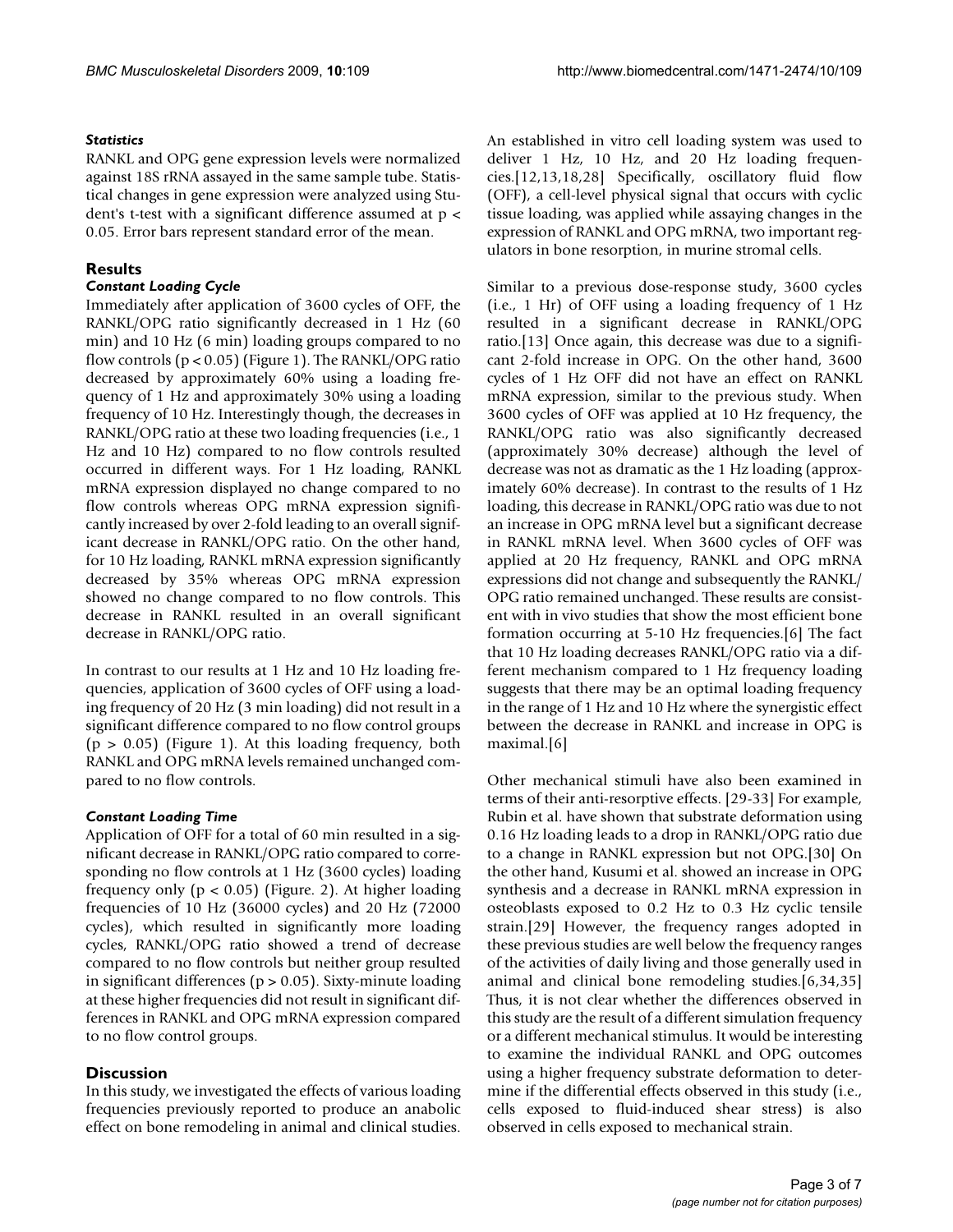#### *Statistics*

RANKL and OPG gene expression levels were normalized against 18S rRNA assayed in the same sample tube. Statistical changes in gene expression were analyzed using Student's t-test with a significant difference assumed at p < 0.05. Error bars represent standard error of the mean.

#### **Results**

#### *Constant Loading Cycle*

Immediately after application of 3600 cycles of OFF, the RANKL/OPG ratio significantly decreased in 1 Hz (60 min) and 10 Hz (6 min) loading groups compared to no flow controls ( $p < 0.05$ ) (Figure 1). The RANKL/OPG ratio decreased by approximately 60% using a loading frequency of 1 Hz and approximately 30% using a loading frequency of 10 Hz. Interestingly though, the decreases in RANKL/OPG ratio at these two loading frequencies (i.e., 1 Hz and 10 Hz) compared to no flow controls resulted occurred in different ways. For 1 Hz loading, RANKL mRNA expression displayed no change compared to no flow controls whereas OPG mRNA expression significantly increased by over 2-fold leading to an overall significant decrease in RANKL/OPG ratio. On the other hand, for 10 Hz loading, RANKL mRNA expression significantly decreased by 35% whereas OPG mRNA expression showed no change compared to no flow controls. This decrease in RANKL resulted in an overall significant decrease in RANKL/OPG ratio.

In contrast to our results at 1 Hz and 10 Hz loading frequencies, application of 3600 cycles of OFF using a loading frequency of 20 Hz (3 min loading) did not result in a significant difference compared to no flow control groups  $(p > 0.05)$  (Figure 1). At this loading frequency, both RANKL and OPG mRNA levels remained unchanged compared to no flow controls.

#### *Constant Loading Time*

Application of OFF for a total of 60 min resulted in a significant decrease in RANKL/OPG ratio compared to corresponding no flow controls at 1 Hz (3600 cycles) loading frequency only ( $p < 0.05$ ) (Figure. 2). At higher loading frequencies of 10 Hz (36000 cycles) and 20 Hz (72000 cycles), which resulted in significantly more loading cycles, RANKL/OPG ratio showed a trend of decrease compared to no flow controls but neither group resulted in significant differences ( $p > 0.05$ ). Sixty-minute loading at these higher frequencies did not result in significant differences in RANKL and OPG mRNA expression compared to no flow control groups.

#### **Discussion**

In this study, we investigated the effects of various loading frequencies previously reported to produce an anabolic effect on bone remodeling in animal and clinical studies.

An established in vitro cell loading system was used to deliver 1 Hz, 10 Hz, and 20 Hz loading frequencies.[12,13,18,28] Specifically, oscillatory fluid flow (OFF), a cell-level physical signal that occurs with cyclic tissue loading, was applied while assaying changes in the expression of RANKL and OPG mRNA, two important regulators in bone resorption, in murine stromal cells.

Similar to a previous dose-response study, 3600 cycles (i.e., 1 Hr) of OFF using a loading frequency of 1 Hz resulted in a significant decrease in RANKL/OPG ratio.[13] Once again, this decrease was due to a significant 2-fold increase in OPG. On the other hand, 3600 cycles of 1 Hz OFF did not have an effect on RANKL mRNA expression, similar to the previous study. When 3600 cycles of OFF was applied at 10 Hz frequency, the RANKL/OPG ratio was also significantly decreased (approximately 30% decrease) although the level of decrease was not as dramatic as the 1 Hz loading (approximately 60% decrease). In contrast to the results of 1 Hz loading, this decrease in RANKL/OPG ratio was due to not an increase in OPG mRNA level but a significant decrease in RANKL mRNA level. When 3600 cycles of OFF was applied at 20 Hz frequency, RANKL and OPG mRNA expressions did not change and subsequently the RANKL/ OPG ratio remained unchanged. These results are consistent with in vivo studies that show the most efficient bone formation occurring at 5-10 Hz frequencies.[6] The fact that 10 Hz loading decreases RANKL/OPG ratio via a different mechanism compared to 1 Hz frequency loading suggests that there may be an optimal loading frequency in the range of 1 Hz and 10 Hz where the synergistic effect between the decrease in RANKL and increase in OPG is maximal.[6]

Other mechanical stimuli have also been examined in terms of their anti-resorptive effects. [29-33] For example, Rubin et al. have shown that substrate deformation using 0.16 Hz loading leads to a drop in RANKL/OPG ratio due to a change in RANKL expression but not OPG.[30] On the other hand, Kusumi et al. showed an increase in OPG synthesis and a decrease in RANKL mRNA expression in osteoblasts exposed to 0.2 Hz to 0.3 Hz cyclic tensile strain.[29] However, the frequency ranges adopted in these previous studies are well below the frequency ranges of the activities of daily living and those generally used in animal and clinical bone remodeling studies.[6,34,35] Thus, it is not clear whether the differences observed in this study are the result of a different simulation frequency or a different mechanical stimulus. It would be interesting to examine the individual RANKL and OPG outcomes using a higher frequency substrate deformation to determine if the differential effects observed in this study (i.e., cells exposed to fluid-induced shear stress) is also observed in cells exposed to mechanical strain.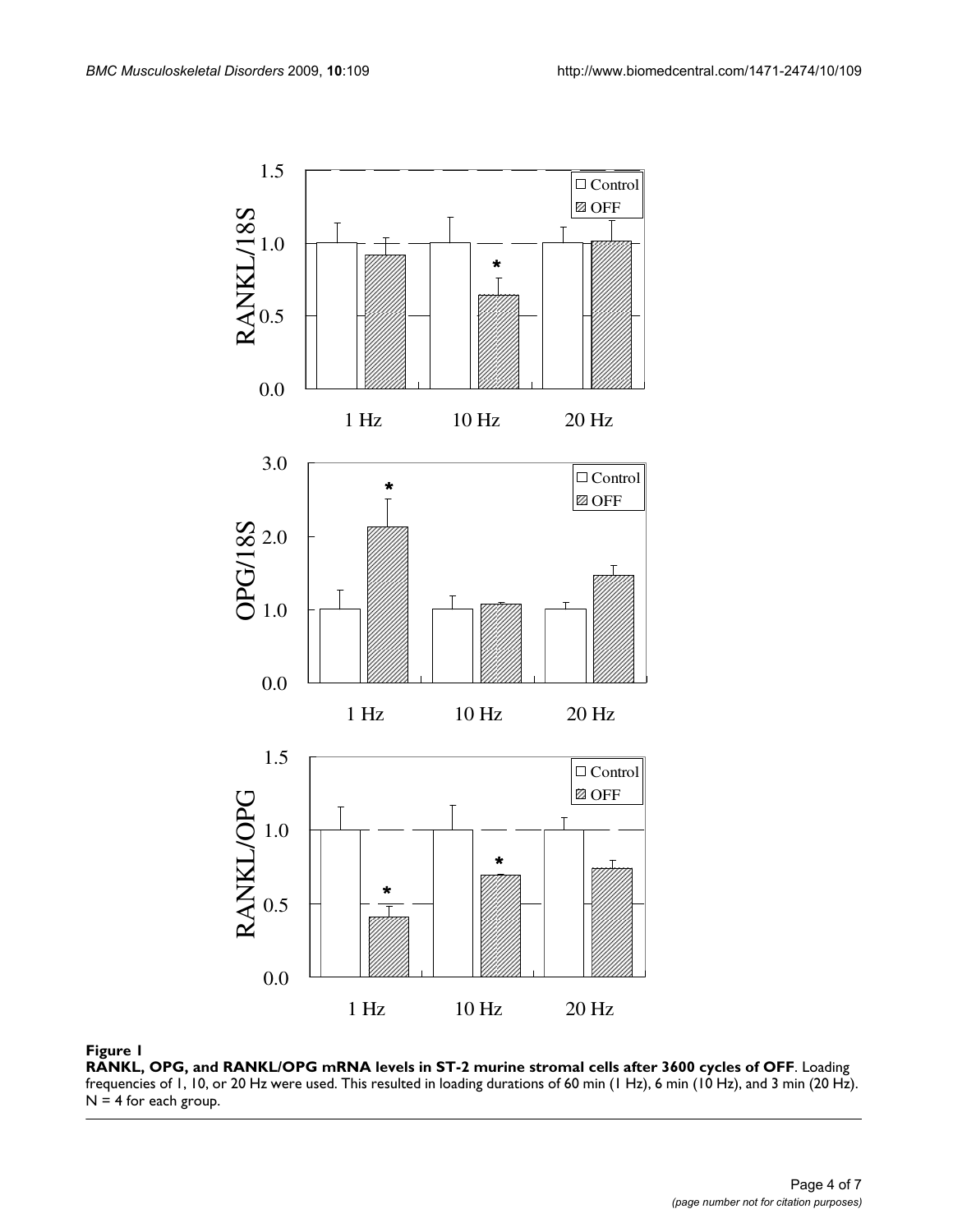

**RANKL, OPG, and RANKL/OPG mRNA levels in ST-2 murine stromal cells after 3600 cycles of OFF**. Loading frequencies of 1, 10, or 20 Hz were used. This resulted in loading durations of 60 min (1 Hz), 6 min (10 Hz), and 3 min (20 Hz).  $N = 4$  for each group.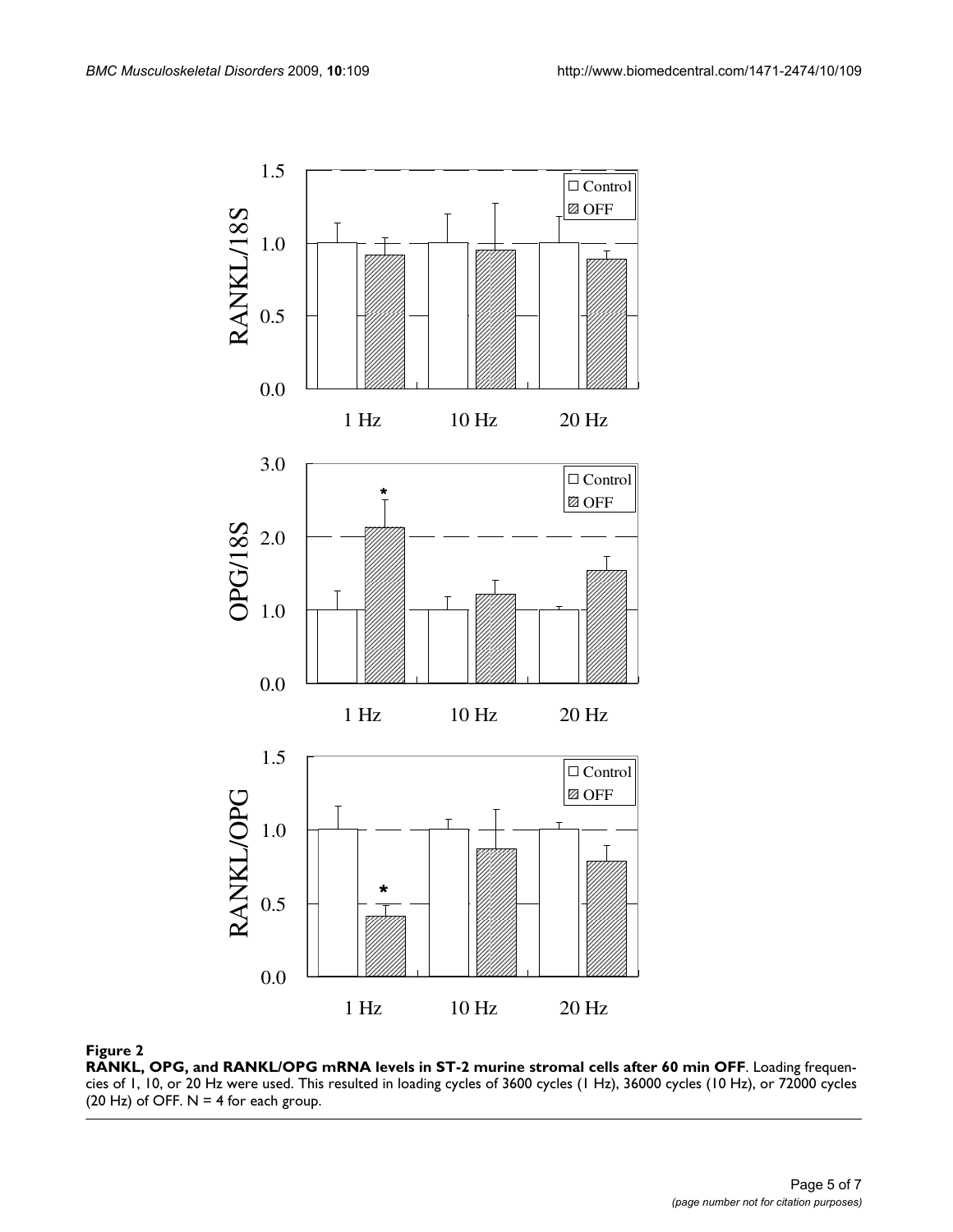

### Figure 2

**RANKL, OPG, and RANKL/OPG mRNA levels in ST-2 murine stromal cells after 60 min OFF**. Loading frequencies of 1, 10, or 20 Hz were used. This resulted in loading cycles of 3600 cycles (1 Hz), 36000 cycles (10 Hz), or 72000 cycles (20 Hz) of OFF.  $N = 4$  for each group.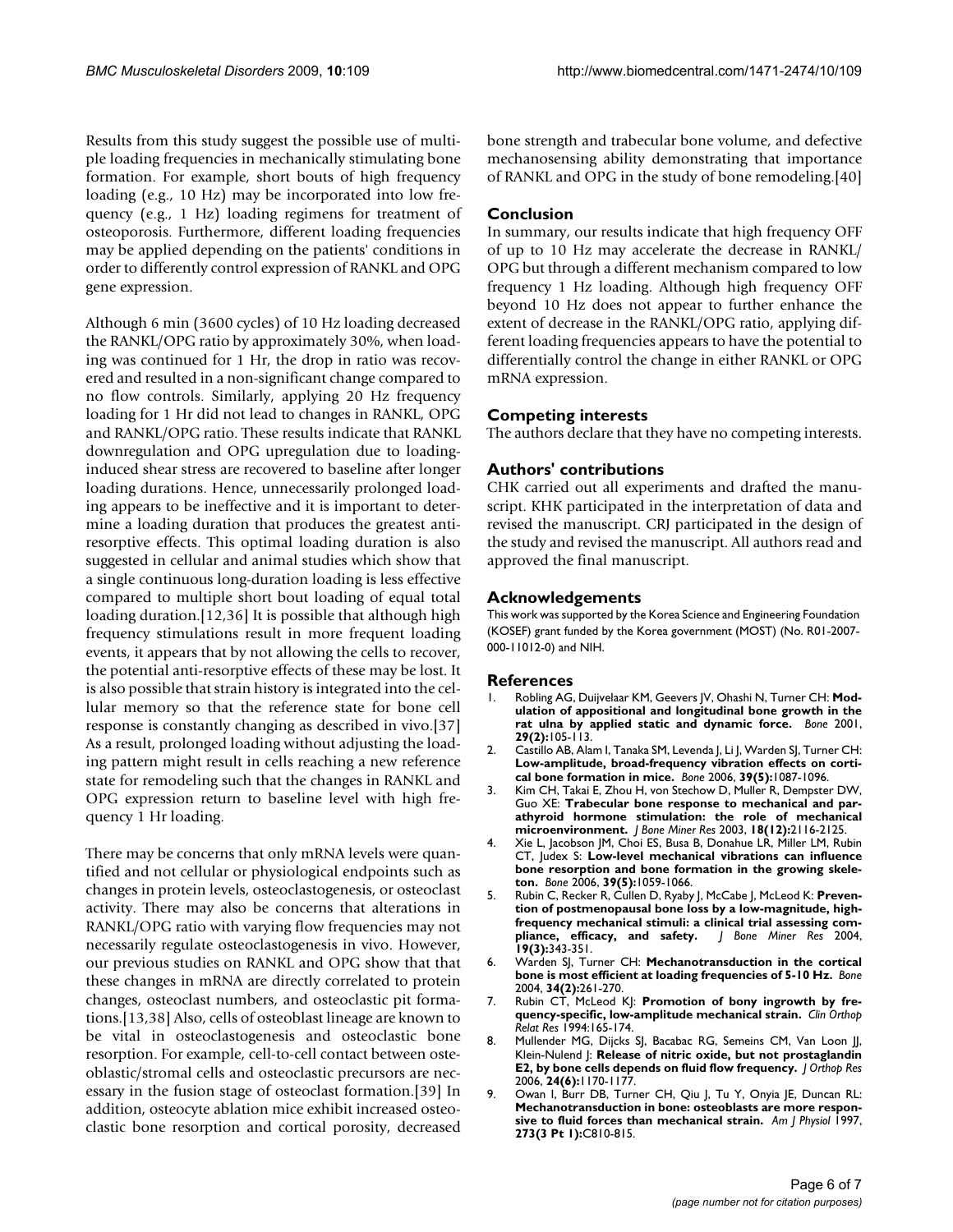Results from this study suggest the possible use of multiple loading frequencies in mechanically stimulating bone formation. For example, short bouts of high frequency loading (e.g., 10 Hz) may be incorporated into low frequency (e.g., 1 Hz) loading regimens for treatment of osteoporosis. Furthermore, different loading frequencies may be applied depending on the patients' conditions in order to differently control expression of RANKL and OPG gene expression.

Although 6 min (3600 cycles) of 10 Hz loading decreased the RANKL/OPG ratio by approximately 30%, when loading was continued for 1 Hr, the drop in ratio was recovered and resulted in a non-significant change compared to no flow controls. Similarly, applying 20 Hz frequency loading for 1 Hr did not lead to changes in RANKL, OPG and RANKL/OPG ratio. These results indicate that RANKL downregulation and OPG upregulation due to loadinginduced shear stress are recovered to baseline after longer loading durations. Hence, unnecessarily prolonged loading appears to be ineffective and it is important to determine a loading duration that produces the greatest antiresorptive effects. This optimal loading duration is also suggested in cellular and animal studies which show that a single continuous long-duration loading is less effective compared to multiple short bout loading of equal total loading duration.<sup>[12,36]</sup> It is possible that although high frequency stimulations result in more frequent loading events, it appears that by not allowing the cells to recover, the potential anti-resorptive effects of these may be lost. It is also possible that strain history is integrated into the cellular memory so that the reference state for bone cell response is constantly changing as described in vivo.[37] As a result, prolonged loading without adjusting the loading pattern might result in cells reaching a new reference state for remodeling such that the changes in RANKL and OPG expression return to baseline level with high frequency 1 Hr loading.

There may be concerns that only mRNA levels were quantified and not cellular or physiological endpoints such as changes in protein levels, osteoclastogenesis, or osteoclast activity. There may also be concerns that alterations in RANKL/OPG ratio with varying flow frequencies may not necessarily regulate osteoclastogenesis in vivo. However, our previous studies on RANKL and OPG show that that these changes in mRNA are directly correlated to protein changes, osteoclast numbers, and osteoclastic pit formations.[13,38] Also, cells of osteoblast lineage are known to be vital in osteoclastogenesis and osteoclastic bone resorption. For example, cell-to-cell contact between osteoblastic/stromal cells and osteoclastic precursors are necessary in the fusion stage of osteoclast formation.[39] In addition, osteocyte ablation mice exhibit increased osteoclastic bone resorption and cortical porosity, decreased bone strength and trabecular bone volume, and defective mechanosensing ability demonstrating that importance of RANKL and OPG in the study of bone remodeling.[40]

#### **Conclusion**

In summary, our results indicate that high frequency OFF of up to 10 Hz may accelerate the decrease in RANKL/ OPG but through a different mechanism compared to low frequency 1 Hz loading. Although high frequency OFF beyond 10 Hz does not appear to further enhance the extent of decrease in the RANKL/OPG ratio, applying different loading frequencies appears to have the potential to differentially control the change in either RANKL or OPG mRNA expression.

#### **Competing interests**

The authors declare that they have no competing interests.

#### **Authors' contributions**

CHK carried out all experiments and drafted the manuscript. KHK participated in the interpretation of data and revised the manuscript. CRJ participated in the design of the study and revised the manuscript. All authors read and approved the final manuscript.

#### **Acknowledgements**

This work was supported by the Korea Science and Engineering Foundation (KOSEF) grant funded by the Korea government (MOST) (No. R01-2007- 000-11012-0) and NIH.

#### **References**

- 1. Robling AG, Duijvelaar KM, Geevers JV, Ohashi N, Turner CH: **[Mod](http://www.ncbi.nlm.nih.gov/entrez/query.fcgi?cmd=Retrieve&db=PubMed&dopt=Abstract&list_uids=11502470)[ulation of appositional and longitudinal bone growth in the](http://www.ncbi.nlm.nih.gov/entrez/query.fcgi?cmd=Retrieve&db=PubMed&dopt=Abstract&list_uids=11502470) [rat ulna by applied static and dynamic force.](http://www.ncbi.nlm.nih.gov/entrez/query.fcgi?cmd=Retrieve&db=PubMed&dopt=Abstract&list_uids=11502470)** *Bone* 2001, **29(2):**105-113.
- 2. Castillo AB, Alam I, Tanaka SM, Levenda J, Li J, Warden SJ, Turner CH: **[Low-amplitude, broad-frequency vibration effects on corti](http://www.ncbi.nlm.nih.gov/entrez/query.fcgi?cmd=Retrieve&db=PubMed&dopt=Abstract&list_uids=16793358)[cal bone formation in mice.](http://www.ncbi.nlm.nih.gov/entrez/query.fcgi?cmd=Retrieve&db=PubMed&dopt=Abstract&list_uids=16793358)** *Bone* 2006, **39(5):**1087-1096.
- 3. Kim CH, Takai E, Zhou H, von Stechow D, Muller R, Dempster DW, Guo XE: **[Trabecular bone response to mechanical and par](http://www.ncbi.nlm.nih.gov/entrez/query.fcgi?cmd=Retrieve&db=PubMed&dopt=Abstract&list_uids=14672346)[athyroid hormone stimulation: the role of mechanical](http://www.ncbi.nlm.nih.gov/entrez/query.fcgi?cmd=Retrieve&db=PubMed&dopt=Abstract&list_uids=14672346) [microenvironment.](http://www.ncbi.nlm.nih.gov/entrez/query.fcgi?cmd=Retrieve&db=PubMed&dopt=Abstract&list_uids=14672346)** *J Bone Miner Res* 2003, **18(12):**2116-2125.
- Xie L, Jacobson JM, Choi ES, Busa B, Donahue LR, Miller LM, Rubin CT, Judex S: **[Low-level mechanical vibrations can influence](http://www.ncbi.nlm.nih.gov/entrez/query.fcgi?cmd=Retrieve&db=PubMed&dopt=Abstract&list_uids=16824816) [bone resorption and bone formation in the growing skele](http://www.ncbi.nlm.nih.gov/entrez/query.fcgi?cmd=Retrieve&db=PubMed&dopt=Abstract&list_uids=16824816)[ton.](http://www.ncbi.nlm.nih.gov/entrez/query.fcgi?cmd=Retrieve&db=PubMed&dopt=Abstract&list_uids=16824816)** *Bone* 2006, **39(5):**1059-1066.
- 5. Rubin C, Recker R, Cullen D, Ryaby J, McCabe J, McLeod K: **[Preven](http://www.ncbi.nlm.nih.gov/entrez/query.fcgi?cmd=Retrieve&db=PubMed&dopt=Abstract&list_uids=15040821)[tion of postmenopausal bone loss by a low-magnitude, high](http://www.ncbi.nlm.nih.gov/entrez/query.fcgi?cmd=Retrieve&db=PubMed&dopt=Abstract&list_uids=15040821)frequency mechanical stimuli: a clinical trial assessing compliance, efficacy, and safety.** *| Bone Miner Res* 2004, [pliance, efficacy, and safety.](http://www.ncbi.nlm.nih.gov/entrez/query.fcgi?cmd=Retrieve&db=PubMed&dopt=Abstract&list_uids=15040821) **19(3):**343-351.
- 6. Warden SJ, Turner CH: **[Mechanotransduction in the cortical](http://www.ncbi.nlm.nih.gov/entrez/query.fcgi?cmd=Retrieve&db=PubMed&dopt=Abstract&list_uids=14962804) [bone is most efficient at loading frequencies of 5-10 Hz.](http://www.ncbi.nlm.nih.gov/entrez/query.fcgi?cmd=Retrieve&db=PubMed&dopt=Abstract&list_uids=14962804)** *Bone* 2004, **34(2):**261-270.
- 7. Rubin CT, McLeod KJ: **[Promotion of bony ingrowth by fre](http://www.ncbi.nlm.nih.gov/entrez/query.fcgi?cmd=Retrieve&db=PubMed&dopt=Abstract&list_uids=8118971)[quency-specific, low-amplitude mechanical strain.](http://www.ncbi.nlm.nih.gov/entrez/query.fcgi?cmd=Retrieve&db=PubMed&dopt=Abstract&list_uids=8118971)** *Clin Orthop Relat Res* 1994:165-174.
- 8. Mullender MG, Dijcks SJ, Bacabac RG, Semeins CM, Van Loon JJ, Klein-Nulend J: **[Release of nitric oxide, but not prostaglandin](http://www.ncbi.nlm.nih.gov/entrez/query.fcgi?cmd=Retrieve&db=PubMed&dopt=Abstract&list_uids=16705700) [E2, by bone cells depends on fluid flow frequency.](http://www.ncbi.nlm.nih.gov/entrez/query.fcgi?cmd=Retrieve&db=PubMed&dopt=Abstract&list_uids=16705700)** *J Orthop Res* 2006, **24(6):**1170-1177.
- 9. Owan I, Burr DB, Turner CH, Qiu J, Tu Y, Onyia JE, Duncan RL: **[Mechanotransduction in bone: osteoblasts are more respon](http://www.ncbi.nlm.nih.gov/entrez/query.fcgi?cmd=Retrieve&db=PubMed&dopt=Abstract&list_uids=9316399)[sive to fluid forces than mechanical strain.](http://www.ncbi.nlm.nih.gov/entrez/query.fcgi?cmd=Retrieve&db=PubMed&dopt=Abstract&list_uids=9316399)** *Am J Physiol* 1997, **273(3 Pt 1):**C810-815.